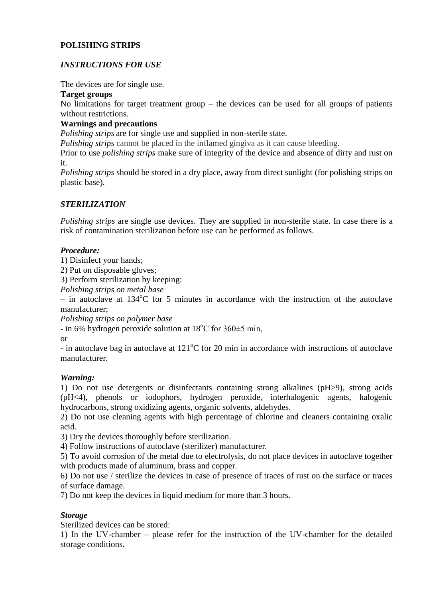# **POLISHING STRIPS**

# *INSTRUCTIONS FOR USE*

The devices are for single use.

#### **Target groups**

No limitations for target treatment group – the devices can be used for all groups of patients without restrictions.

## **Warnings and precautions**

*Polishing strips* are for single use and supplied in non-sterile state.

*Polishing strips* cannot be placed in the inflamed gingiva as it can cause bleeding.

Prior to use *polishing strips* make sure of integrity of the device and absence of dirty and rust on it.

*Polishing strips* should be stored in a dry place, away from direct sunlight (for polishing strips on plastic base).

## *STERILIZATION*

*Polishing strips* are single use devices. They are supplied in non-sterile state. In case there is a risk of contamination sterilization before use can be performed as follows.

#### *Procedure:*

1) Disinfect your hands;

2) Put on disposable gloves;

3) Perform sterilization by keeping:

*Polishing strips on metal base*

– in autoclave at  $134^{\circ}$ C for 5 minutes in accordance with the instruction of the autoclave manufacturer;

*Polishing strips on polymer base*

- in 6% [hydrogen peroxide](https://www.multitran.com/m.exe?s=hidrogen+peroxide&l1=1&l2=2) solution at  $18^{\circ}$ C for  $360\pm5$  min,

or

- in autoclave bag in autoclave at  $121^{\circ}$ C for 20 min in accordance with instructions of autoclave manufacturer.

## *Warning:*

1) Do not use detergents or disinfectants containing strong alkalines (pH>9), strong acids (pH<4), phenols or iodophors, hydrogen peroxide, interhalogenic agents, halogenic hydrocarbons, strong oxidizing agents, organic solvents, aldehydes.

2) Do not use cleaning agents with high percentage of chlorine and cleaners containing oxalic acid.

3) Dry the devices thoroughly before sterilization.

4) Follow instructions of autoclave (sterilizer) manufacturer.

5) To avoid corrosion of the metal due to electrolysis, do not place devices in autoclave together with products made of aluminum, brass and copper.

6) Do not use / sterilize the devices in case of presence of traces of rust on the surface or traces of surface damage.

7) Do not keep the devices in liquid medium for more than 3 hours.

## *Storage*

Sterilized devices can be stored:

1) In the UV-chamber – please refer for the instruction of the UV-chamber for the detailed storage conditions.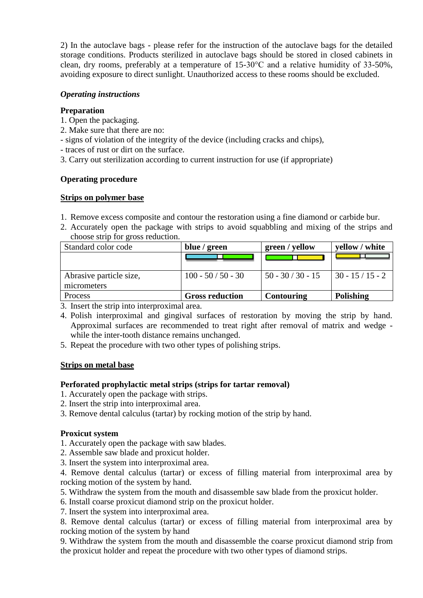2) In the autoclave bags - please refer for the instruction of the autoclave bags for the detailed storage conditions. Products sterilized in autoclave bags should be stored in closed cabinets in clean, dry rooms, preferably at a temperature of 15-30°C and a relative humidity of 33-50%, avoiding exposure to direct sunlight. Unauthorized access to these rooms should be excluded.

## *Operating instructions*

#### **Preparation**

- 1. Open the packaging.
- 2. Make sure that there are no:
- signs of violation of the integrity of the device (including cracks and chips),
- traces of rust or dirt on the surface.
- 3. Carry out sterilization according to current instruction for use (if appropriate)

#### **Operating procedure**

#### **Strips on polymer base**

- 1. Remove excess composite and contour the restoration using a fine diamond or carbide bur.
- 2. Accurately open the package with strips to avoid squabbling and mixing of the strips and choose strip for gross reduction.

| Standard color code     | blue / green           | green / yellow      | yellow / white    |
|-------------------------|------------------------|---------------------|-------------------|
|                         |                        |                     |                   |
|                         |                        |                     |                   |
| Abrasive particle size, | $100 - 50 / 50 - 30$   | $50 - 30 / 30 - 15$ | $130 - 15/15 - 2$ |
| micrometers             |                        |                     |                   |
| <b>Process</b>          | <b>Gross reduction</b> | <b>Contouring</b>   | Polishing         |

3. Insert the strip into interproximal area.

- 4. Polish interproximal and gingival surfaces of restoration by moving the strip by hand. Approximal surfaces are recommended to treat right after removal of matrix and wedge while the inter-tooth distance remains unchanged.
- 5. Repeat the procedure with two other types of polishing strips.

## **Strips on metal base**

#### **Perforated prophylactic metal strips (strips for tartar removal)**

- 1. Accurately open the package with strips.
- 2. Insert the strip into interproximal area.
- 3. Remove dental calculus (tartar) by rocking motion of the strip by hand.

#### **Proxicut system**

- 1. Accurately open the package with saw blades.
- 2. Assemble saw blade and proxicut holder.
- 3. Insert the system into interproximal area.

4. Remove dental calculus (tartar) or excess of filling material from interproximal area by rocking motion of the system by hand.

- 5. Withdraw the system from the mouth and disassemble saw blade from the proxicut holder.
- 6. Install coarse proxicut diamond strip on the proxicut holder.

7. Insert the system into interproximal area.

8. Remove dental calculus (tartar) or excess of filling material from interproximal area by rocking motion of the system by hand

9. Withdraw the system from the mouth and disassemble the coarse proxicut diamond strip from the proxicut holder and repeat the procedure with two other types of diamond strips.